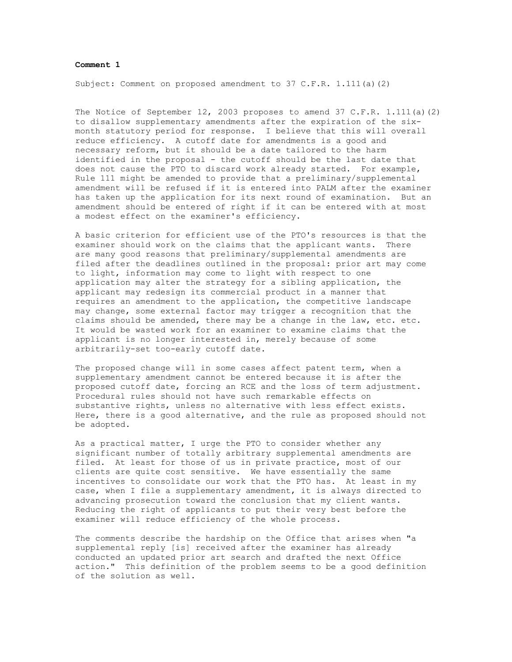## **Comment 1**

Subject: Comment on proposed amendment to 37 C.F.R. 1.111(a)(2)

The Notice of September 12, 2003 proposes to amend 37 C.F.R.  $1.111(a)$  (2) to disallow supplementary amendments after the expiration of the sixmonth statutory period for response. I believe that this will overall reduce efficiency. A cutoff date for amendments is a good and necessary reform, but it should be a date tailored to the harm identified in the proposal - the cutoff should be the last date that does not cause the PTO to discard work already started. For example, Rule 111 might be amended to provide that a preliminary/supplemental amendment will be refused if it is entered into PALM after the examiner has taken up the application for its next round of examination. But an amendment should be entered of right if it can be entered with at most a modest effect on the examiner's efficiency.

A basic criterion for efficient use of the PTO's resources is that the examiner should work on the claims that the applicant wants. There are many good reasons that preliminary/supplemental amendments are filed after the deadlines outlined in the proposal: prior art may come to light, information may come to light with respect to one application may alter the strategy for a sibling application, the applicant may redesign its commercial product in a manner that requires an amendment to the application, the competitive landscape may change, some external factor may trigger a recognition that the claims should be amended, there may be a change in the law, etc. etc. It would be wasted work for an examiner to examine claims that the applicant is no longer interested in, merely because of some arbitrarily-set too-early cutoff date.

The proposed change will in some cases affect patent term, when a supplementary amendment cannot be entered because it is after the proposed cutoff date, forcing an RCE and the loss of term adjustment. Procedural rules should not have such remarkable effects on substantive rights, unless no alternative with less effect exists. Here, there is a good alternative, and the rule as proposed should not be adopted.

As a practical matter, I urge the PTO to consider whether any significant number of totally arbitrary supplemental amendments are filed. At least for those of us in private practice, most of our clients are quite cost sensitive. We have essentially the same incentives to consolidate our work that the PTO has. At least in my case, when I file a supplementary amendment, it is always directed to advancing prosecution toward the conclusion that my client wants. Reducing the right of applicants to put their very best before the examiner will reduce efficiency of the whole process.

The comments describe the hardship on the Office that arises when "a supplemental reply [is] received after the examiner has already conducted an updated prior art search and drafted the next Office action." This definition of the problem seems to be a good definition of the solution as well.